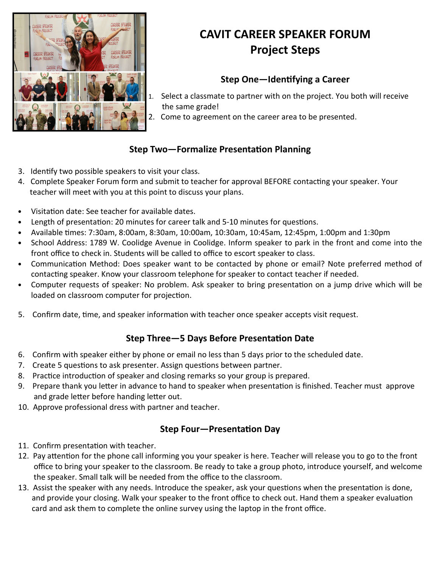

## CAVIT CAREER SPEAKER FORUM Project Steps

#### Step One—Identifying a Career

- 1. Select a classmate to partner with on the project. You both will receive the same grade!
- 2. Come to agreement on the career area to be presented.

### Step Two-Formalize Presentation Planning

- 3. Identify two possible speakers to visit your class.
- 4. Complete Speaker Forum form and submit to teacher for approval BEFORE contacting your speaker. Your teacher will meet with you at this point to discuss your plans.
- Visitation date: See teacher for available dates.
- Length of presentation: 20 minutes for career talk and 5-10 minutes for questions.
- Available times: 7:30am, 8:00am, 8:30am, 10:00am, 10:30am, 10:45am, 12:45pm, 1:00pm and 1:30pm
- School Address: 1789 W. Coolidge Avenue in Coolidge. Inform speaker to park in the front and come into the front office to check in. Students will be called to office to escort speaker to class.
- Communication Method: Does speaker want to be contacted by phone or email? Note preferred method of contacting speaker. Know your classroom telephone for speaker to contact teacher if needed.
- Computer requests of speaker: No problem. Ask speaker to bring presentation on a jump drive which will be loaded on classroom computer for projection.
- 5. Confirm date, time, and speaker information with teacher once speaker accepts visit request.

#### Step Three-5 Days Before Presentation Date

- 6. Confirm with speaker either by phone or email no less than 5 days prior to the scheduled date.
- 7. Create 5 questions to ask presenter. Assign questions between partner.
- 8. Practice introduction of speaker and closing remarks so your group is prepared.
- 9. Prepare thank you letter in advance to hand to speaker when presentation is finished. Teacher must approve and grade letter before handing letter out.
- 10. Approve professional dress with partner and teacher.

#### Step Four-Presentation Day

- 11. Confirm presentation with teacher.
- 12. Pay attention for the phone call informing you your speaker is here. Teacher will release you to go to the front office to bring your speaker to the classroom. Be ready to take a group photo, introduce yourself, and welcome the speaker. Small talk will be needed from the office to the classroom.
- 13. Assist the speaker with any needs. Introduce the speaker, ask your questions when the presentation is done, and provide your closing. Walk your speaker to the front office to check out. Hand them a speaker evaluation card and ask them to complete the online survey using the laptop in the front office.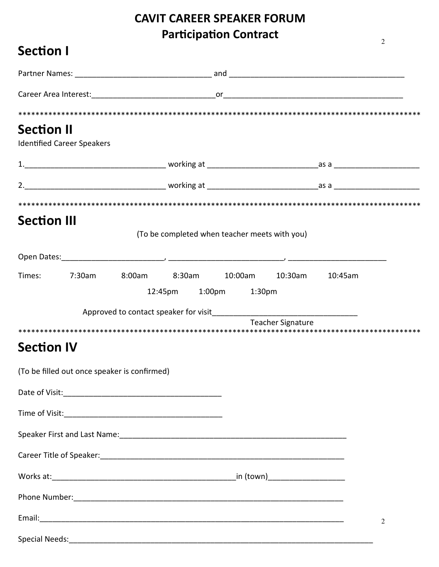# **CAVIT CAREER SPEAKER FORUM Participation Contract**

|                    |                                              |  | r articipation contract                                |                          |         | 2 |
|--------------------|----------------------------------------------|--|--------------------------------------------------------|--------------------------|---------|---|
| <b>Section I</b>   |                                              |  |                                                        |                          |         |   |
|                    |                                              |  |                                                        |                          |         |   |
|                    |                                              |  |                                                        |                          |         |   |
|                    |                                              |  |                                                        |                          |         |   |
| <b>Section II</b>  | <b>Identified Career Speakers</b>            |  |                                                        |                          |         |   |
|                    |                                              |  |                                                        |                          |         |   |
|                    |                                              |  |                                                        |                          |         |   |
|                    |                                              |  |                                                        |                          |         |   |
| <b>Section III</b> |                                              |  | (To be completed when teacher meets with you)          |                          |         |   |
|                    |                                              |  |                                                        |                          |         |   |
| Times:             | 7:30am                                       |  | 8:00am 8:30am 10:00am 10:30am<br>12:45pm 1:00pm 1:30pm |                          | 10:45am |   |
|                    |                                              |  |                                                        |                          |         |   |
|                    |                                              |  |                                                        | <b>Teacher Signature</b> |         |   |
| <b>Section IV</b>  |                                              |  |                                                        |                          |         |   |
|                    | (To be filled out once speaker is confirmed) |  |                                                        |                          |         |   |
|                    |                                              |  |                                                        |                          |         |   |
|                    |                                              |  |                                                        |                          |         |   |
|                    |                                              |  |                                                        |                          |         |   |
|                    |                                              |  |                                                        |                          |         |   |
|                    |                                              |  |                                                        |                          |         |   |
|                    |                                              |  |                                                        |                          |         |   |
|                    |                                              |  |                                                        |                          |         | 2 |
|                    |                                              |  |                                                        |                          |         |   |